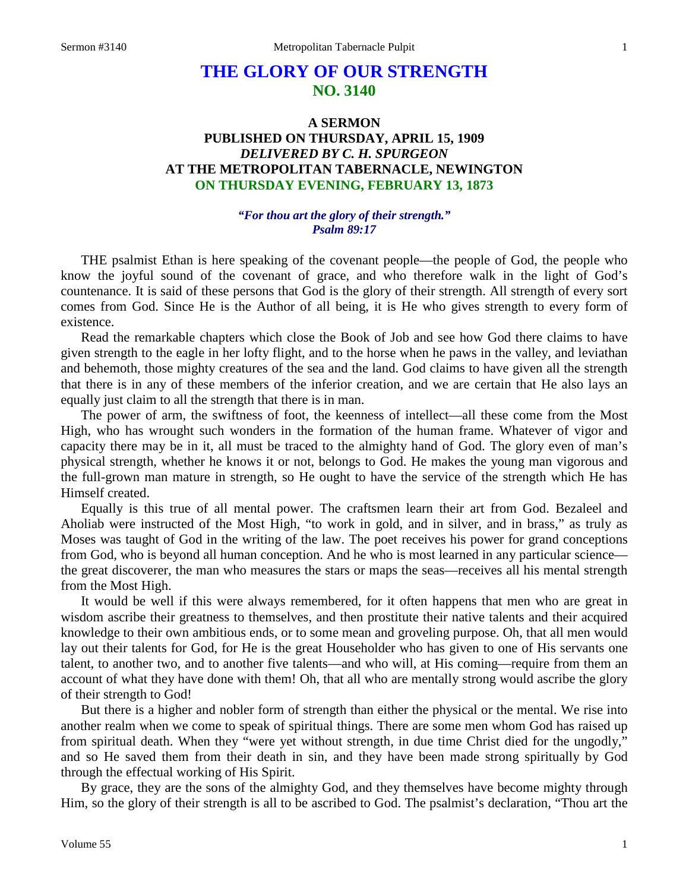# **THE GLORY OF OUR STRENGTH NO. 3140**

## **A SERMON PUBLISHED ON THURSDAY, APRIL 15, 1909** *DELIVERED BY C. H. SPURGEON* **AT THE METROPOLITAN TABERNACLE, NEWINGTON ON THURSDAY EVENING, FEBRUARY 13, 1873**

#### *"For thou art the glory of their strength." Psalm 89:17*

THE psalmist Ethan is here speaking of the covenant people—the people of God, the people who know the joyful sound of the covenant of grace, and who therefore walk in the light of God's countenance. It is said of these persons that God is the glory of their strength. All strength of every sort comes from God. Since He is the Author of all being, it is He who gives strength to every form of existence.

Read the remarkable chapters which close the Book of Job and see how God there claims to have given strength to the eagle in her lofty flight, and to the horse when he paws in the valley, and leviathan and behemoth, those mighty creatures of the sea and the land. God claims to have given all the strength that there is in any of these members of the inferior creation, and we are certain that He also lays an equally just claim to all the strength that there is in man.

The power of arm, the swiftness of foot, the keenness of intellect—all these come from the Most High, who has wrought such wonders in the formation of the human frame. Whatever of vigor and capacity there may be in it, all must be traced to the almighty hand of God. The glory even of man's physical strength, whether he knows it or not, belongs to God. He makes the young man vigorous and the full-grown man mature in strength, so He ought to have the service of the strength which He has Himself created.

Equally is this true of all mental power. The craftsmen learn their art from God. Bezaleel and Aholiab were instructed of the Most High, "to work in gold, and in silver, and in brass," as truly as Moses was taught of God in the writing of the law. The poet receives his power for grand conceptions from God, who is beyond all human conception. And he who is most learned in any particular science the great discoverer, the man who measures the stars or maps the seas—receives all his mental strength from the Most High.

It would be well if this were always remembered, for it often happens that men who are great in wisdom ascribe their greatness to themselves, and then prostitute their native talents and their acquired knowledge to their own ambitious ends, or to some mean and groveling purpose. Oh, that all men would lay out their talents for God, for He is the great Householder who has given to one of His servants one talent, to another two, and to another five talents—and who will, at His coming—require from them an account of what they have done with them! Oh, that all who are mentally strong would ascribe the glory of their strength to God!

But there is a higher and nobler form of strength than either the physical or the mental. We rise into another realm when we come to speak of spiritual things. There are some men whom God has raised up from spiritual death. When they "were yet without strength, in due time Christ died for the ungodly," and so He saved them from their death in sin, and they have been made strong spiritually by God through the effectual working of His Spirit.

By grace, they are the sons of the almighty God, and they themselves have become mighty through Him, so the glory of their strength is all to be ascribed to God. The psalmist's declaration, "Thou art the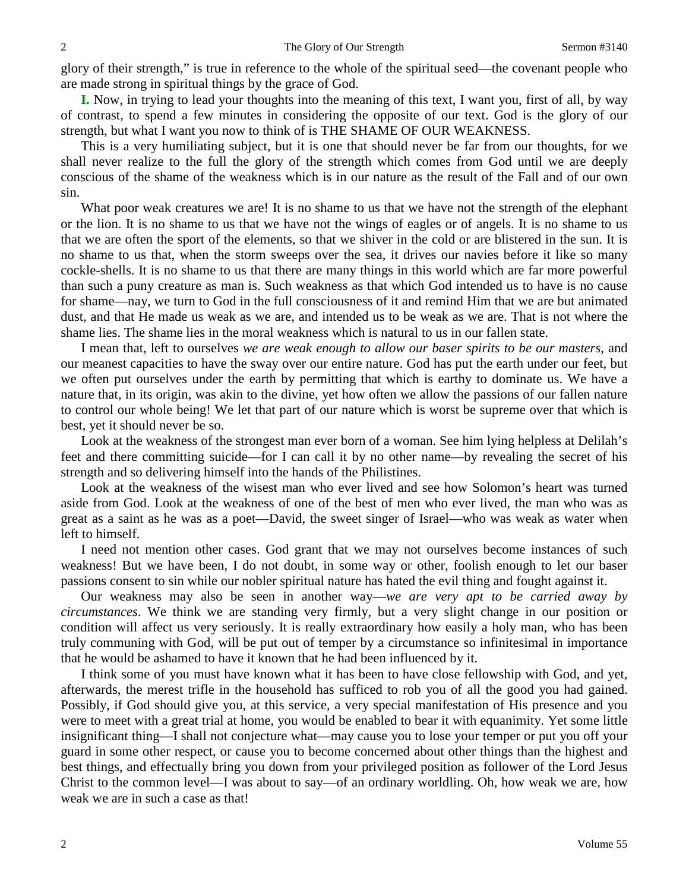glory of their strength," is true in reference to the whole of the spiritual seed—the covenant people who are made strong in spiritual things by the grace of God.

**I.** Now, in trying to lead your thoughts into the meaning of this text, I want you, first of all, by way of contrast, to spend a few minutes in considering the opposite of our text. God is the glory of our strength, but what I want you now to think of is THE SHAME OF OUR WEAKNESS.

This is a very humiliating subject, but it is one that should never be far from our thoughts, for we shall never realize to the full the glory of the strength which comes from God until we are deeply conscious of the shame of the weakness which is in our nature as the result of the Fall and of our own sin.

What poor weak creatures we are! It is no shame to us that we have not the strength of the elephant or the lion. It is no shame to us that we have not the wings of eagles or of angels. It is no shame to us that we are often the sport of the elements, so that we shiver in the cold or are blistered in the sun. It is no shame to us that, when the storm sweeps over the sea, it drives our navies before it like so many cockle-shells. It is no shame to us that there are many things in this world which are far more powerful than such a puny creature as man is. Such weakness as that which God intended us to have is no cause for shame—nay, we turn to God in the full consciousness of it and remind Him that we are but animated dust, and that He made us weak as we are, and intended us to be weak as we are. That is not where the shame lies. The shame lies in the moral weakness which is natural to us in our fallen state.

I mean that, left to ourselves *we are weak enough to allow our baser spirits to be our masters*, and our meanest capacities to have the sway over our entire nature. God has put the earth under our feet, but we often put ourselves under the earth by permitting that which is earthy to dominate us. We have a nature that, in its origin, was akin to the divine, yet how often we allow the passions of our fallen nature to control our whole being! We let that part of our nature which is worst be supreme over that which is best, yet it should never be so.

Look at the weakness of the strongest man ever born of a woman. See him lying helpless at Delilah's feet and there committing suicide—for I can call it by no other name—by revealing the secret of his strength and so delivering himself into the hands of the Philistines.

Look at the weakness of the wisest man who ever lived and see how Solomon's heart was turned aside from God. Look at the weakness of one of the best of men who ever lived, the man who was as great as a saint as he was as a poet—David, the sweet singer of Israel—who was weak as water when left to himself.

I need not mention other cases. God grant that we may not ourselves become instances of such weakness! But we have been, I do not doubt, in some way or other, foolish enough to let our baser passions consent to sin while our nobler spiritual nature has hated the evil thing and fought against it.

Our weakness may also be seen in another way—*we are very apt to be carried away by circumstances*. We think we are standing very firmly, but a very slight change in our position or condition will affect us very seriously. It is really extraordinary how easily a holy man, who has been truly communing with God, will be put out of temper by a circumstance so infinitesimal in importance that he would be ashamed to have it known that he had been influenced by it.

I think some of you must have known what it has been to have close fellowship with God, and yet, afterwards, the merest trifle in the household has sufficed to rob you of all the good you had gained. Possibly, if God should give you, at this service, a very special manifestation of His presence and you were to meet with a great trial at home, you would be enabled to bear it with equanimity. Yet some little insignificant thing—I shall not conjecture what—may cause you to lose your temper or put you off your guard in some other respect, or cause you to become concerned about other things than the highest and best things, and effectually bring you down from your privileged position as follower of the Lord Jesus Christ to the common level—I was about to say—of an ordinary worldling. Oh, how weak we are, how weak we are in such a case as that!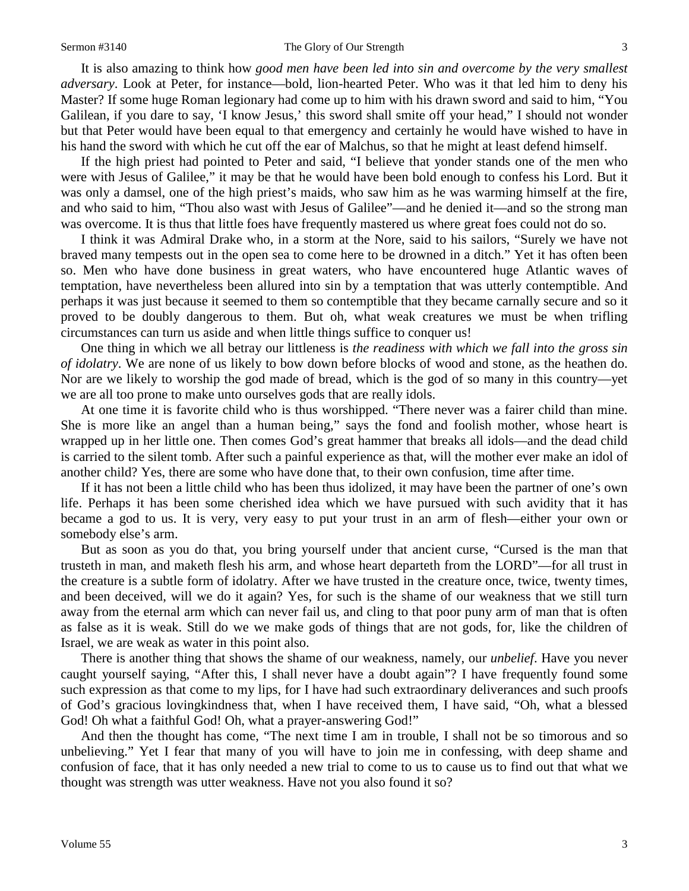It is also amazing to think how *good men have been led into sin and overcome by the very smallest adversary*. Look at Peter, for instance—bold, lion-hearted Peter. Who was it that led him to deny his Master? If some huge Roman legionary had come up to him with his drawn sword and said to him, "You Galilean, if you dare to say, 'I know Jesus,' this sword shall smite off your head," I should not wonder but that Peter would have been equal to that emergency and certainly he would have wished to have in his hand the sword with which he cut off the ear of Malchus, so that he might at least defend himself.

If the high priest had pointed to Peter and said, "I believe that yonder stands one of the men who were with Jesus of Galilee," it may be that he would have been bold enough to confess his Lord. But it was only a damsel, one of the high priest's maids, who saw him as he was warming himself at the fire, and who said to him, "Thou also wast with Jesus of Galilee"—and he denied it—and so the strong man was overcome. It is thus that little foes have frequently mastered us where great foes could not do so.

I think it was Admiral Drake who, in a storm at the Nore, said to his sailors, "Surely we have not braved many tempests out in the open sea to come here to be drowned in a ditch." Yet it has often been so. Men who have done business in great waters, who have encountered huge Atlantic waves of temptation, have nevertheless been allured into sin by a temptation that was utterly contemptible. And perhaps it was just because it seemed to them so contemptible that they became carnally secure and so it proved to be doubly dangerous to them. But oh, what weak creatures we must be when trifling circumstances can turn us aside and when little things suffice to conquer us!

One thing in which we all betray our littleness is *the readiness with which we fall into the gross sin of idolatry*. We are none of us likely to bow down before blocks of wood and stone, as the heathen do. Nor are we likely to worship the god made of bread, which is the god of so many in this country—yet we are all too prone to make unto ourselves gods that are really idols.

At one time it is favorite child who is thus worshipped. "There never was a fairer child than mine. She is more like an angel than a human being," says the fond and foolish mother, whose heart is wrapped up in her little one. Then comes God's great hammer that breaks all idols—and the dead child is carried to the silent tomb. After such a painful experience as that, will the mother ever make an idol of another child? Yes, there are some who have done that, to their own confusion, time after time.

If it has not been a little child who has been thus idolized, it may have been the partner of one's own life. Perhaps it has been some cherished idea which we have pursued with such avidity that it has became a god to us. It is very, very easy to put your trust in an arm of flesh—either your own or somebody else's arm.

But as soon as you do that, you bring yourself under that ancient curse, "Cursed is the man that trusteth in man, and maketh flesh his arm, and whose heart departeth from the LORD"—for all trust in the creature is a subtle form of idolatry. After we have trusted in the creature once, twice, twenty times, and been deceived, will we do it again? Yes, for such is the shame of our weakness that we still turn away from the eternal arm which can never fail us, and cling to that poor puny arm of man that is often as false as it is weak. Still do we we make gods of things that are not gods, for, like the children of Israel, we are weak as water in this point also.

There is another thing that shows the shame of our weakness, namely, our *unbelief*. Have you never caught yourself saying, "After this, I shall never have a doubt again"? I have frequently found some such expression as that come to my lips, for I have had such extraordinary deliverances and such proofs of God's gracious lovingkindness that, when I have received them, I have said, "Oh, what a blessed God! Oh what a faithful God! Oh, what a prayer-answering God!"

And then the thought has come, "The next time I am in trouble, I shall not be so timorous and so unbelieving." Yet I fear that many of you will have to join me in confessing, with deep shame and confusion of face, that it has only needed a new trial to come to us to cause us to find out that what we thought was strength was utter weakness. Have not you also found it so?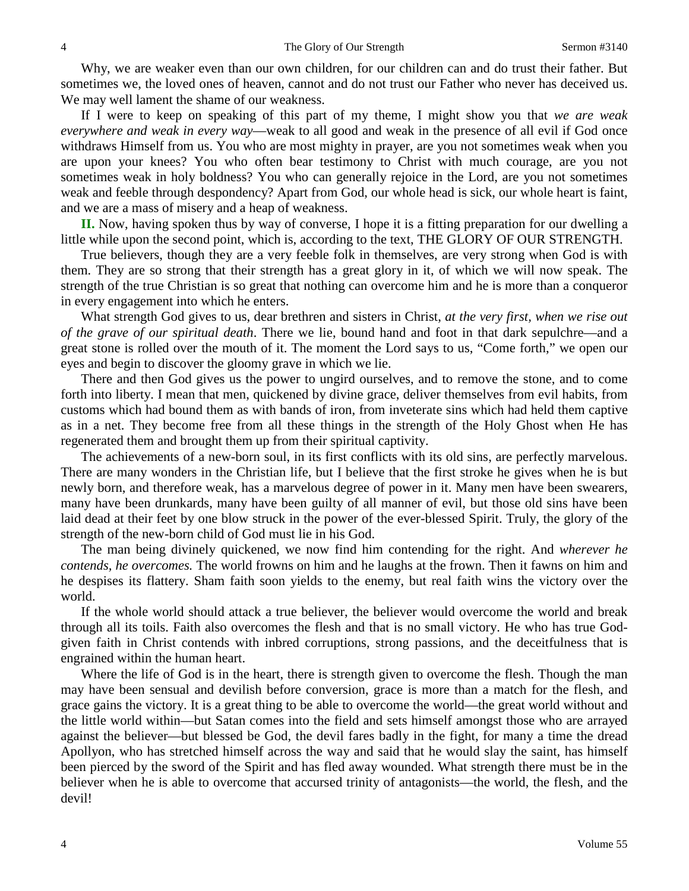Why, we are weaker even than our own children, for our children can and do trust their father. But sometimes we, the loved ones of heaven, cannot and do not trust our Father who never has deceived us. We may well lament the shame of our weakness.

If I were to keep on speaking of this part of my theme, I might show you that *we are weak everywhere and weak in every way*—weak to all good and weak in the presence of all evil if God once withdraws Himself from us. You who are most mighty in prayer, are you not sometimes weak when you are upon your knees? You who often bear testimony to Christ with much courage, are you not sometimes weak in holy boldness? You who can generally rejoice in the Lord, are you not sometimes weak and feeble through despondency? Apart from God, our whole head is sick, our whole heart is faint, and we are a mass of misery and a heap of weakness.

**II.** Now, having spoken thus by way of converse, I hope it is a fitting preparation for our dwelling a little while upon the second point, which is, according to the text, THE GLORY OF OUR STRENGTH.

True believers, though they are a very feeble folk in themselves, are very strong when God is with them. They are so strong that their strength has a great glory in it, of which we will now speak. The strength of the true Christian is so great that nothing can overcome him and he is more than a conqueror in every engagement into which he enters.

What strength God gives to us, dear brethren and sisters in Christ, *at the very first, when we rise out of the grave of our spiritual death*. There we lie, bound hand and foot in that dark sepulchre—and a great stone is rolled over the mouth of it. The moment the Lord says to us, "Come forth," we open our eyes and begin to discover the gloomy grave in which we lie.

There and then God gives us the power to ungird ourselves, and to remove the stone, and to come forth into liberty. I mean that men, quickened by divine grace, deliver themselves from evil habits, from customs which had bound them as with bands of iron, from inveterate sins which had held them captive as in a net. They become free from all these things in the strength of the Holy Ghost when He has regenerated them and brought them up from their spiritual captivity.

The achievements of a new-born soul, in its first conflicts with its old sins, are perfectly marvelous. There are many wonders in the Christian life, but I believe that the first stroke he gives when he is but newly born, and therefore weak, has a marvelous degree of power in it. Many men have been swearers, many have been drunkards, many have been guilty of all manner of evil, but those old sins have been laid dead at their feet by one blow struck in the power of the ever-blessed Spirit. Truly, the glory of the strength of the new-born child of God must lie in his God.

The man being divinely quickened, we now find him contending for the right. And *wherever he contends, he overcomes.* The world frowns on him and he laughs at the frown. Then it fawns on him and he despises its flattery. Sham faith soon yields to the enemy, but real faith wins the victory over the world.

If the whole world should attack a true believer, the believer would overcome the world and break through all its toils. Faith also overcomes the flesh and that is no small victory. He who has true Godgiven faith in Christ contends with inbred corruptions, strong passions, and the deceitfulness that is engrained within the human heart.

Where the life of God is in the heart, there is strength given to overcome the flesh. Though the man may have been sensual and devilish before conversion, grace is more than a match for the flesh, and grace gains the victory. It is a great thing to be able to overcome the world—the great world without and the little world within—but Satan comes into the field and sets himself amongst those who are arrayed against the believer—but blessed be God, the devil fares badly in the fight, for many a time the dread Apollyon, who has stretched himself across the way and said that he would slay the saint, has himself been pierced by the sword of the Spirit and has fled away wounded. What strength there must be in the believer when he is able to overcome that accursed trinity of antagonists—the world, the flesh, and the devil!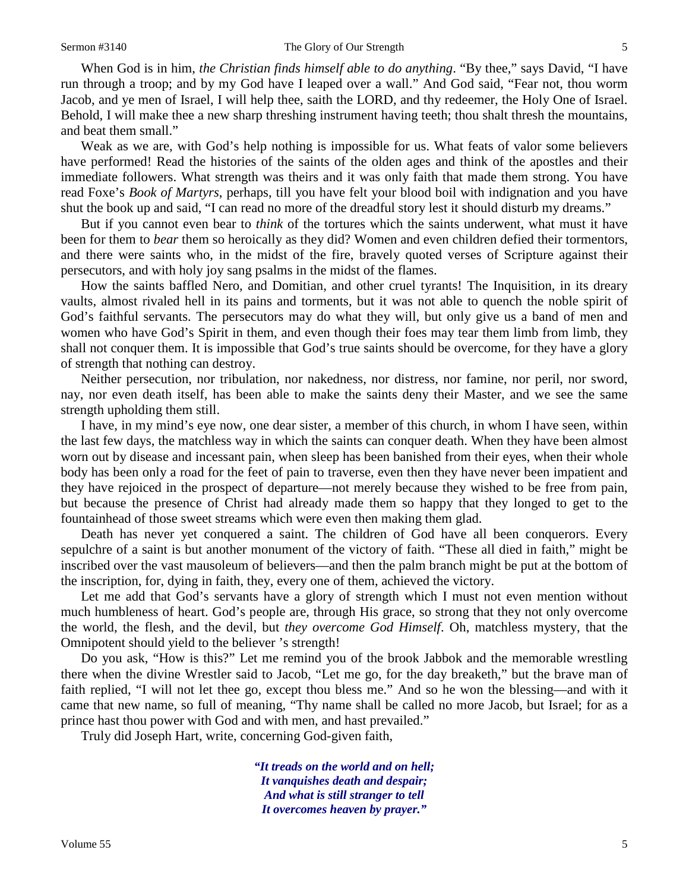When God is in him, *the Christian finds himself able to do anything*. "By thee," says David, "I have run through a troop; and by my God have I leaped over a wall." And God said, "Fear not, thou worm Jacob, and ye men of Israel, I will help thee, saith the LORD, and thy redeemer, the Holy One of Israel. Behold, I will make thee a new sharp threshing instrument having teeth; thou shalt thresh the mountains, and beat them small."

Weak as we are, with God's help nothing is impossible for us. What feats of valor some believers have performed! Read the histories of the saints of the olden ages and think of the apostles and their immediate followers. What strength was theirs and it was only faith that made them strong. You have read Foxe's *Book of Martyrs*, perhaps, till you have felt your blood boil with indignation and you have shut the book up and said, "I can read no more of the dreadful story lest it should disturb my dreams."

But if you cannot even bear to *think* of the tortures which the saints underwent, what must it have been for them to *bear* them so heroically as they did? Women and even children defied their tormentors, and there were saints who, in the midst of the fire, bravely quoted verses of Scripture against their persecutors, and with holy joy sang psalms in the midst of the flames.

How the saints baffled Nero, and Domitian, and other cruel tyrants! The Inquisition, in its dreary vaults, almost rivaled hell in its pains and torments, but it was not able to quench the noble spirit of God's faithful servants. The persecutors may do what they will, but only give us a band of men and women who have God's Spirit in them, and even though their foes may tear them limb from limb, they shall not conquer them. It is impossible that God's true saints should be overcome, for they have a glory of strength that nothing can destroy.

Neither persecution, nor tribulation, nor nakedness, nor distress, nor famine, nor peril, nor sword, nay, nor even death itself, has been able to make the saints deny their Master, and we see the same strength upholding them still.

I have, in my mind's eye now, one dear sister, a member of this church, in whom I have seen, within the last few days, the matchless way in which the saints can conquer death. When they have been almost worn out by disease and incessant pain, when sleep has been banished from their eyes, when their whole body has been only a road for the feet of pain to traverse, even then they have never been impatient and they have rejoiced in the prospect of departure—not merely because they wished to be free from pain, but because the presence of Christ had already made them so happy that they longed to get to the fountainhead of those sweet streams which were even then making them glad.

Death has never yet conquered a saint. The children of God have all been conquerors. Every sepulchre of a saint is but another monument of the victory of faith. "These all died in faith," might be inscribed over the vast mausoleum of believers—and then the palm branch might be put at the bottom of the inscription, for, dying in faith, they, every one of them, achieved the victory.

Let me add that God's servants have a glory of strength which I must not even mention without much humbleness of heart. God's people are, through His grace, so strong that they not only overcome the world, the flesh, and the devil, but *they overcome God Himself*. Oh, matchless mystery, that the Omnipotent should yield to the believer 's strength!

Do you ask, "How is this?" Let me remind you of the brook Jabbok and the memorable wrestling there when the divine Wrestler said to Jacob, "Let me go, for the day breaketh," but the brave man of faith replied, "I will not let thee go, except thou bless me." And so he won the blessing—and with it came that new name, so full of meaning, "Thy name shall be called no more Jacob, but Israel; for as a prince hast thou power with God and with men, and hast prevailed."

Truly did Joseph Hart, write, concerning God-given faith,

*"It treads on the world and on hell; It vanquishes death and despair; And what is still stranger to tell It overcomes heaven by prayer."*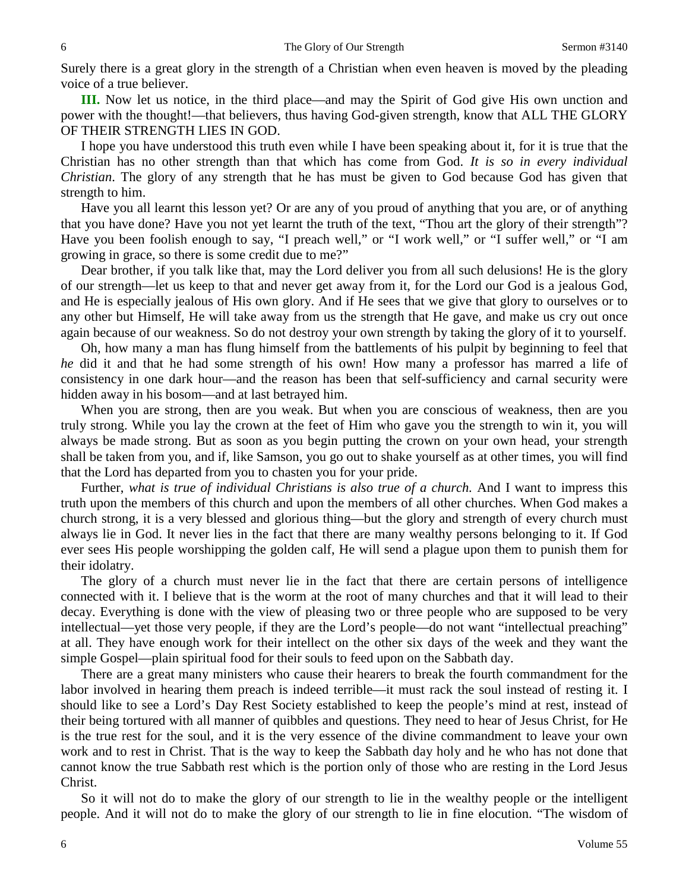Surely there is a great glory in the strength of a Christian when even heaven is moved by the pleading voice of a true believer.

**III.** Now let us notice, in the third place—and may the Spirit of God give His own unction and power with the thought!—that believers, thus having God-given strength, know that ALL THE GLORY OF THEIR STRENGTH LIES IN GOD.

I hope you have understood this truth even while I have been speaking about it, for it is true that the Christian has no other strength than that which has come from God. *It is so in every individual Christian*. The glory of any strength that he has must be given to God because God has given that strength to him.

Have you all learnt this lesson yet? Or are any of you proud of anything that you are, or of anything that you have done? Have you not yet learnt the truth of the text, "Thou art the glory of their strength"? Have you been foolish enough to say, "I preach well," or "I work well," or "I suffer well," or "I am growing in grace, so there is some credit due to me?"

Dear brother, if you talk like that, may the Lord deliver you from all such delusions! He is the glory of our strength—let us keep to that and never get away from it, for the Lord our God is a jealous God, and He is especially jealous of His own glory. And if He sees that we give that glory to ourselves or to any other but Himself, He will take away from us the strength that He gave, and make us cry out once again because of our weakness. So do not destroy your own strength by taking the glory of it to yourself.

Oh, how many a man has flung himself from the battlements of his pulpit by beginning to feel that *he* did it and that he had some strength of his own! How many a professor has marred a life of consistency in one dark hour—and the reason has been that self-sufficiency and carnal security were hidden away in his bosom—and at last betrayed him.

When you are strong, then are you weak. But when you are conscious of weakness, then are you truly strong. While you lay the crown at the feet of Him who gave you the strength to win it, you will always be made strong. But as soon as you begin putting the crown on your own head, your strength shall be taken from you, and if, like Samson, you go out to shake yourself as at other times, you will find that the Lord has departed from you to chasten you for your pride.

Further, *what is true of individual Christians is also true of a church.* And I want to impress this truth upon the members of this church and upon the members of all other churches. When God makes a church strong, it is a very blessed and glorious thing—but the glory and strength of every church must always lie in God. It never lies in the fact that there are many wealthy persons belonging to it. If God ever sees His people worshipping the golden calf, He will send a plague upon them to punish them for their idolatry.

The glory of a church must never lie in the fact that there are certain persons of intelligence connected with it. I believe that is the worm at the root of many churches and that it will lead to their decay. Everything is done with the view of pleasing two or three people who are supposed to be very intellectual—yet those very people, if they are the Lord's people—do not want "intellectual preaching" at all. They have enough work for their intellect on the other six days of the week and they want the simple Gospel—plain spiritual food for their souls to feed upon on the Sabbath day.

There are a great many ministers who cause their hearers to break the fourth commandment for the labor involved in hearing them preach is indeed terrible—it must rack the soul instead of resting it. I should like to see a Lord's Day Rest Society established to keep the people's mind at rest, instead of their being tortured with all manner of quibbles and questions. They need to hear of Jesus Christ, for He is the true rest for the soul, and it is the very essence of the divine commandment to leave your own work and to rest in Christ. That is the way to keep the Sabbath day holy and he who has not done that cannot know the true Sabbath rest which is the portion only of those who are resting in the Lord Jesus Christ.

So it will not do to make the glory of our strength to lie in the wealthy people or the intelligent people. And it will not do to make the glory of our strength to lie in fine elocution. "The wisdom of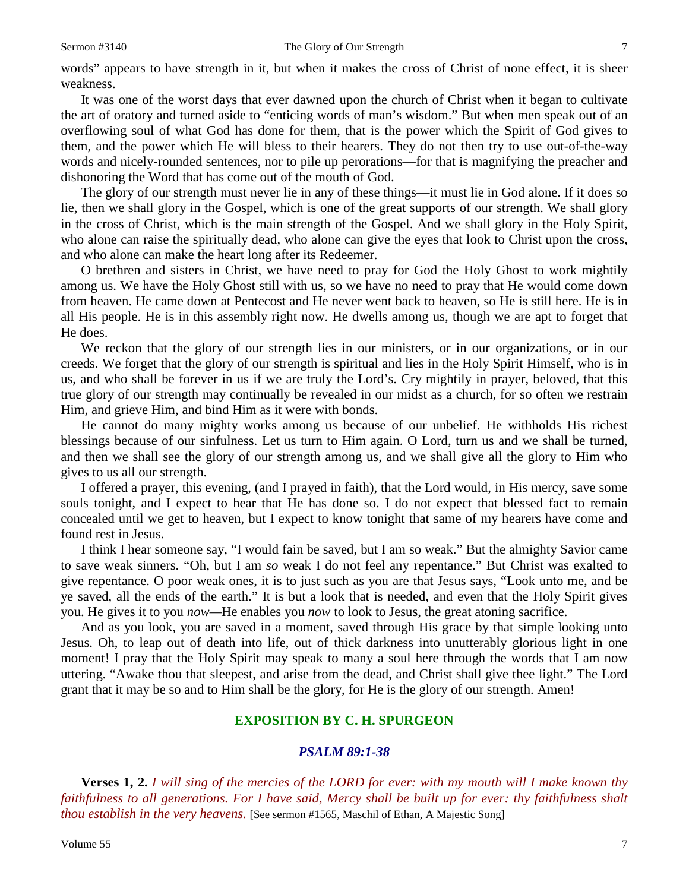words" appears to have strength in it, but when it makes the cross of Christ of none effect, it is sheer weakness.

It was one of the worst days that ever dawned upon the church of Christ when it began to cultivate the art of oratory and turned aside to "enticing words of man's wisdom." But when men speak out of an overflowing soul of what God has done for them, that is the power which the Spirit of God gives to them, and the power which He will bless to their hearers. They do not then try to use out-of-the-way words and nicely-rounded sentences, nor to pile up perorations—for that is magnifying the preacher and dishonoring the Word that has come out of the mouth of God.

The glory of our strength must never lie in any of these things—it must lie in God alone. If it does so lie, then we shall glory in the Gospel, which is one of the great supports of our strength. We shall glory in the cross of Christ, which is the main strength of the Gospel. And we shall glory in the Holy Spirit, who alone can raise the spiritually dead, who alone can give the eyes that look to Christ upon the cross, and who alone can make the heart long after its Redeemer.

O brethren and sisters in Christ, we have need to pray for God the Holy Ghost to work mightily among us. We have the Holy Ghost still with us, so we have no need to pray that He would come down from heaven. He came down at Pentecost and He never went back to heaven, so He is still here. He is in all His people. He is in this assembly right now. He dwells among us, though we are apt to forget that He does.

We reckon that the glory of our strength lies in our ministers, or in our organizations, or in our creeds. We forget that the glory of our strength is spiritual and lies in the Holy Spirit Himself, who is in us, and who shall be forever in us if we are truly the Lord's. Cry mightily in prayer, beloved, that this true glory of our strength may continually be revealed in our midst as a church, for so often we restrain Him, and grieve Him, and bind Him as it were with bonds.

He cannot do many mighty works among us because of our unbelief. He withholds His richest blessings because of our sinfulness. Let us turn to Him again. O Lord, turn us and we shall be turned, and then we shall see the glory of our strength among us, and we shall give all the glory to Him who gives to us all our strength.

I offered a prayer, this evening, (and I prayed in faith), that the Lord would, in His mercy, save some souls tonight, and I expect to hear that He has done so. I do not expect that blessed fact to remain concealed until we get to heaven, but I expect to know tonight that same of my hearers have come and found rest in Jesus.

I think I hear someone say, "I would fain be saved, but I am so weak." But the almighty Savior came to save weak sinners. "Oh, but I am *so* weak I do not feel any repentance." But Christ was exalted to give repentance. O poor weak ones, it is to just such as you are that Jesus says, "Look unto me, and be ye saved, all the ends of the earth." It is but a look that is needed, and even that the Holy Spirit gives you. He gives it to you *now—*He enables you *now* to look to Jesus, the great atoning sacrifice.

And as you look, you are saved in a moment, saved through His grace by that simple looking unto Jesus. Oh, to leap out of death into life, out of thick darkness into unutterably glorious light in one moment! I pray that the Holy Spirit may speak to many a soul here through the words that I am now uttering. "Awake thou that sleepest, and arise from the dead, and Christ shall give thee light." The Lord grant that it may be so and to Him shall be the glory, for He is the glory of our strength. Amen!

#### **EXPOSITION BY C. H. SPURGEON**

#### *PSALM 89:1-38*

**Verses 1, 2.** *I will sing of the mercies of the LORD for ever: with my mouth will I make known thy faithfulness to all generations. For I have said, Mercy shall be built up for ever: thy faithfulness shalt thou establish in the very heavens.* [See sermon #1565, Maschil of Ethan, A Majestic Song]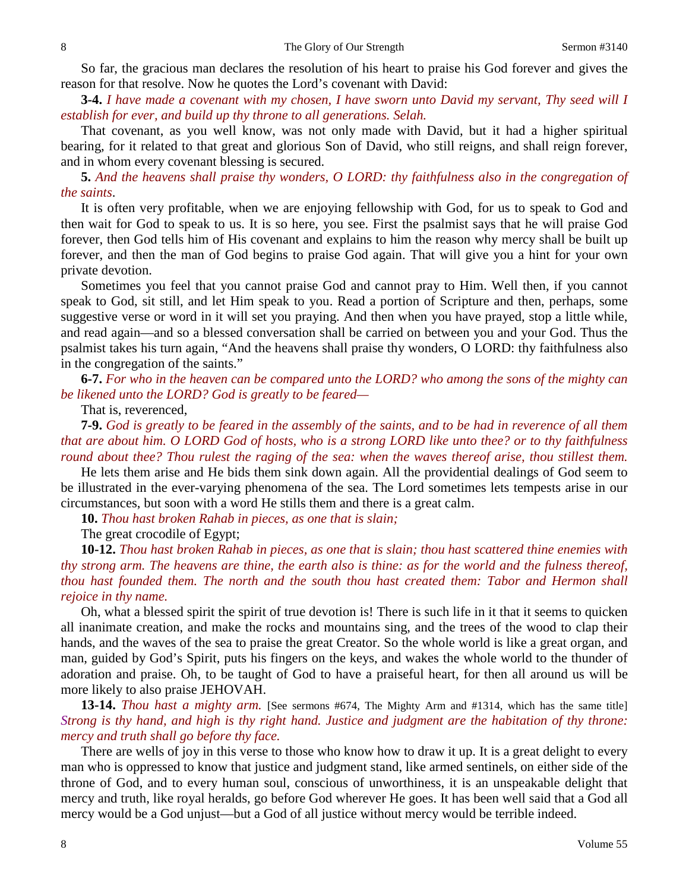So far, the gracious man declares the resolution of his heart to praise his God forever and gives the reason for that resolve. Now he quotes the Lord's covenant with David:

**3-4.** *I have made a covenant with my chosen, I have sworn unto David my servant, Thy seed will I establish for ever, and build up thy throne to all generations. Selah.*

That covenant, as you well know, was not only made with David, but it had a higher spiritual bearing, for it related to that great and glorious Son of David, who still reigns, and shall reign forever, and in whom every covenant blessing is secured.

**5.** *And the heavens shall praise thy wonders, O LORD: thy faithfulness also in the congregation of the saints*.

It is often very profitable, when we are enjoying fellowship with God, for us to speak to God and then wait for God to speak to us. It is so here, you see. First the psalmist says that he will praise God forever, then God tells him of His covenant and explains to him the reason why mercy shall be built up forever, and then the man of God begins to praise God again. That will give you a hint for your own private devotion.

Sometimes you feel that you cannot praise God and cannot pray to Him. Well then, if you cannot speak to God, sit still, and let Him speak to you. Read a portion of Scripture and then, perhaps, some suggestive verse or word in it will set you praying. And then when you have prayed, stop a little while, and read again—and so a blessed conversation shall be carried on between you and your God. Thus the psalmist takes his turn again, "And the heavens shall praise thy wonders, O LORD: thy faithfulness also in the congregation of the saints."

**6-7.** *For who in the heaven can be compared unto the LORD? who among the sons of the mighty can be likened unto the LORD? God is greatly to be feared—*

That is, reverenced,

**7-9.** *God is greatly to be feared in the assembly of the saints, and to be had in reverence of all them that are about him. O LORD God of hosts, who is a strong LORD like unto thee? or to thy faithfulness round about thee? Thou rulest the raging of the sea: when the waves thereof arise, thou stillest them.*

He lets them arise and He bids them sink down again. All the providential dealings of God seem to be illustrated in the ever-varying phenomena of the sea. The Lord sometimes lets tempests arise in our circumstances, but soon with a word He stills them and there is a great calm.

**10.** *Thou hast broken Rahab in pieces, as one that is slain;*

The great crocodile of Egypt;

**10-12.** *Thou hast broken Rahab in pieces, as one that is slain; thou hast scattered thine enemies with thy strong arm. The heavens are thine, the earth also is thine: as for the world and the fulness thereof, thou hast founded them. The north and the south thou hast created them: Tabor and Hermon shall rejoice in thy name.*

Oh, what a blessed spirit the spirit of true devotion is! There is such life in it that it seems to quicken all inanimate creation, and make the rocks and mountains sing, and the trees of the wood to clap their hands, and the waves of the sea to praise the great Creator. So the whole world is like a great organ, and man, guided by God's Spirit, puts his fingers on the keys, and wakes the whole world to the thunder of adoration and praise. Oh, to be taught of God to have a praiseful heart, for then all around us will be more likely to also praise JEHOVAH.

**13-14.** *Thou hast a mighty arm.* [See sermons #674, The Mighty Arm and #1314, which has the same title] *Strong is thy hand, and high is thy right hand. Justice and judgment are the habitation of thy throne: mercy and truth shall go before thy face.*

There are wells of joy in this verse to those who know how to draw it up. It is a great delight to every man who is oppressed to know that justice and judgment stand, like armed sentinels, on either side of the throne of God, and to every human soul, conscious of unworthiness, it is an unspeakable delight that mercy and truth, like royal heralds, go before God wherever He goes. It has been well said that a God all mercy would be a God unjust—but a God of all justice without mercy would be terrible indeed.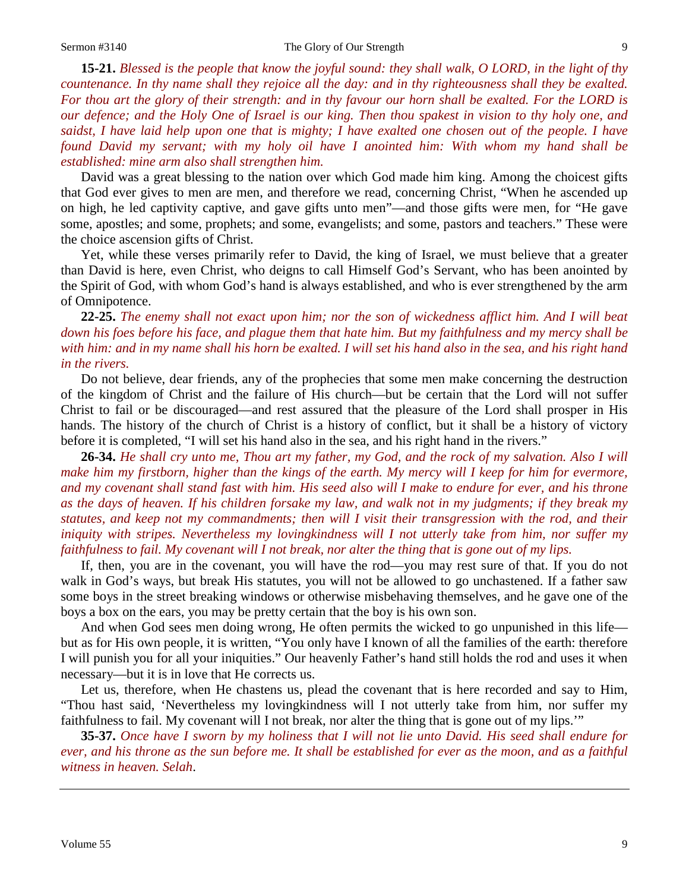**15-21.** *Blessed is the people that know the joyful sound: they shall walk, O LORD, in the light of thy countenance. In thy name shall they rejoice all the day: and in thy righteousness shall they be exalted. For thou art the glory of their strength: and in thy favour our horn shall be exalted. For the LORD is our defence; and the Holy One of Israel is our king. Then thou spakest in vision to thy holy one, and saidst, I have laid help upon one that is mighty; I have exalted one chosen out of the people. I have found David my servant; with my holy oil have I anointed him: With whom my hand shall be established: mine arm also shall strengthen him.*

David was a great blessing to the nation over which God made him king. Among the choicest gifts that God ever gives to men are men, and therefore we read, concerning Christ, "When he ascended up on high, he led captivity captive, and gave gifts unto men"—and those gifts were men, for "He gave some, apostles; and some, prophets; and some, evangelists; and some, pastors and teachers." These were the choice ascension gifts of Christ.

Yet, while these verses primarily refer to David, the king of Israel, we must believe that a greater than David is here, even Christ, who deigns to call Himself God's Servant, who has been anointed by the Spirit of God, with whom God's hand is always established, and who is ever strengthened by the arm of Omnipotence.

### **22-25.** *The enemy shall not exact upon him; nor the son of wickedness afflict him. And I will beat down his foes before his face, and plague them that hate him. But my faithfulness and my mercy shall be with him: and in my name shall his horn be exalted. I will set his hand also in the sea, and his right hand in the rivers.*

Do not believe, dear friends, any of the prophecies that some men make concerning the destruction of the kingdom of Christ and the failure of His church—but be certain that the Lord will not suffer Christ to fail or be discouraged—and rest assured that the pleasure of the Lord shall prosper in His hands. The history of the church of Christ is a history of conflict, but it shall be a history of victory before it is completed, "I will set his hand also in the sea, and his right hand in the rivers."

**26-34.** *He shall cry unto me, Thou art my father, my God, and the rock of my salvation. Also I will make him my firstborn, higher than the kings of the earth. My mercy will I keep for him for evermore, and my covenant shall stand fast with him. His seed also will I make to endure for ever, and his throne as the days of heaven. If his children forsake my law, and walk not in my judgments; if they break my statutes, and keep not my commandments; then will I visit their transgression with the rod, and their iniquity with stripes. Nevertheless my lovingkindness will I not utterly take from him, nor suffer my faithfulness to fail. My covenant will I not break, nor alter the thing that is gone out of my lips.*

If, then, you are in the covenant, you will have the rod—you may rest sure of that. If you do not walk in God's ways, but break His statutes, you will not be allowed to go unchastened. If a father saw some boys in the street breaking windows or otherwise misbehaving themselves, and he gave one of the boys a box on the ears, you may be pretty certain that the boy is his own son.

And when God sees men doing wrong, He often permits the wicked to go unpunished in this life but as for His own people, it is written, "You only have I known of all the families of the earth: therefore I will punish you for all your iniquities." Our heavenly Father's hand still holds the rod and uses it when necessary—but it is in love that He corrects us.

Let us, therefore, when He chastens us, plead the covenant that is here recorded and say to Him, "Thou hast said, 'Nevertheless my lovingkindness will I not utterly take from him, nor suffer my faithfulness to fail. My covenant will I not break, nor alter the thing that is gone out of my lips.'"

**35-37.** *Once have I sworn by my holiness that I will not lie unto David. His seed shall endure for ever, and his throne as the sun before me. It shall be established for ever as the moon, and as a faithful witness in heaven. Selah*.